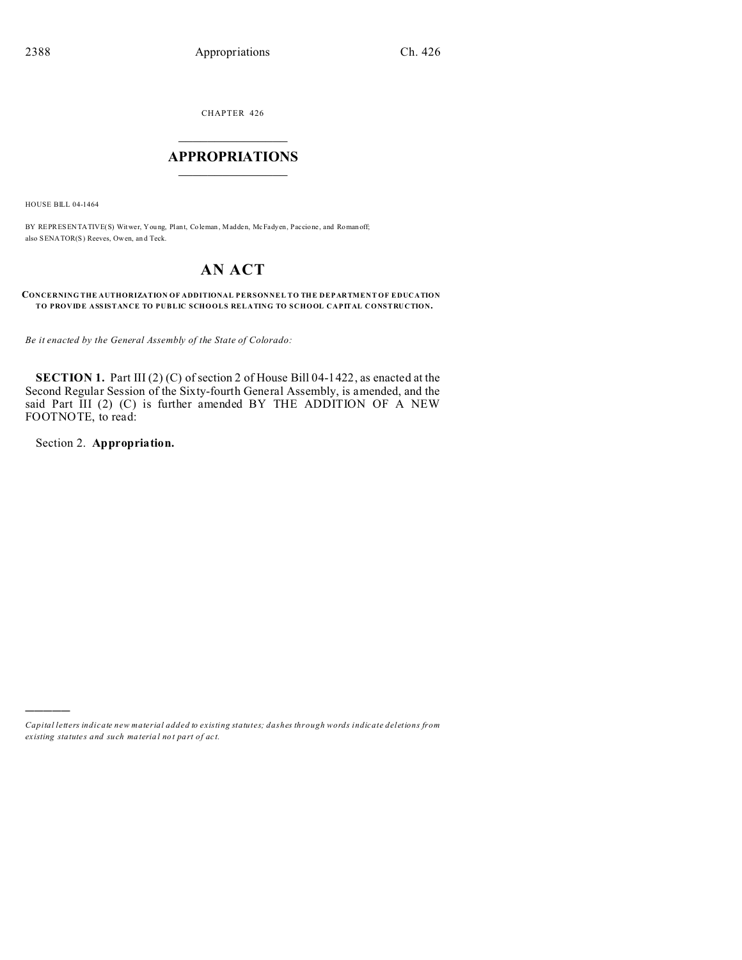CHAPTER 426  $\overline{\phantom{a}}$  , where  $\overline{\phantom{a}}$ 

# **APPROPRIATIONS**  $\_$   $\_$   $\_$   $\_$   $\_$   $\_$   $\_$   $\_$

HOUSE BILL 04-1464

BY REPRESENTATIVE(S) Witwer, You ng, Plant, Coleman , Madden, McFadyen, Paccione, and Roman off; also SENATOR(S) Reeves, Owen, an d Teck.

# **AN ACT**

### **CONCERNING THE AUTHORIZATION OF ADDITIONAL PERSONNEL TO THE DEPARTMENT OF EDUCATION TO PROVIDE ASSISTANCE TO PUBLIC SCHOOLS RELATING TO SCHOOL CAPITAL CONSTRUCTION.**

*Be it enacted by the General Assembly of the State of Colorado:*

**SECTION 1.** Part III (2) (C) of section 2 of House Bill 04-1422, as enacted at the Second Regular Session of the Sixty-fourth General Assembly, is amended, and the said Part III (2) (C) is further amended BY THE ADDITION OF A NEW FOOTNOTE, to read:

Section 2. **Appropriation.**

)))))

*Capital letters indicate new material added to existing statutes; dashes through words indicate deletions from ex isting statute s and such ma teria l no t pa rt of ac t.*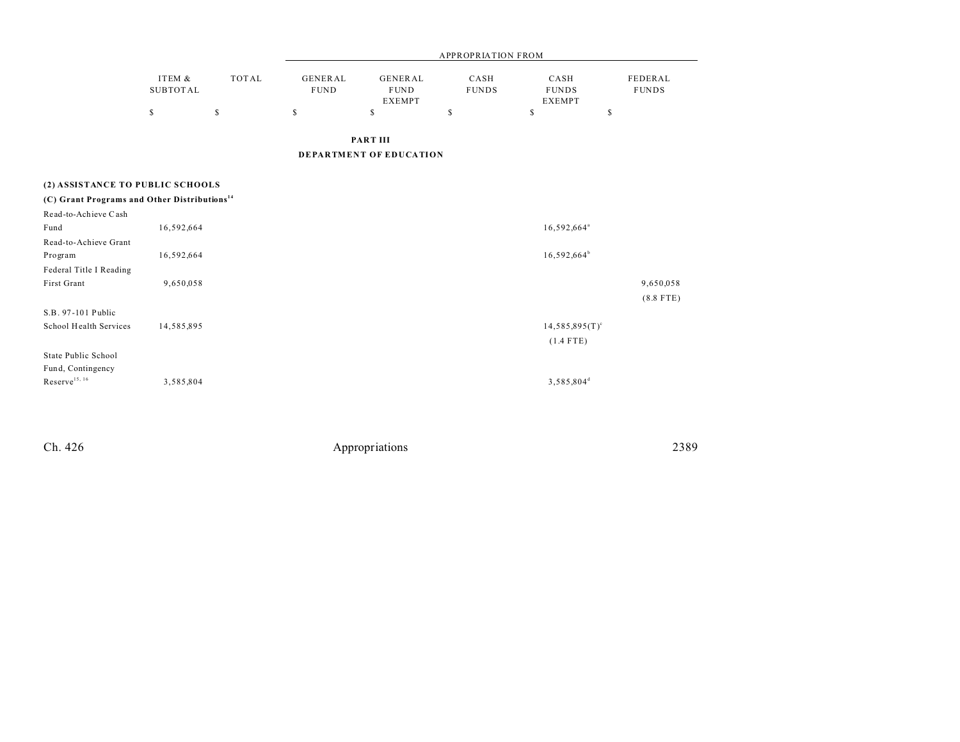|                                                          |                           |              | <b>APPROPRIATION FROM</b>     |                                         |                      |                                       |                         |  |
|----------------------------------------------------------|---------------------------|--------------|-------------------------------|-----------------------------------------|----------------------|---------------------------------------|-------------------------|--|
|                                                          | ITEM &<br><b>SUBTOTAL</b> | <b>TOTAL</b> | <b>GENERAL</b><br><b>FUND</b> | GENERAL<br><b>FUND</b><br><b>EXEMPT</b> | CASH<br><b>FUNDS</b> | CASH<br><b>FUNDS</b><br><b>EXEMPT</b> | FEDERAL<br><b>FUNDS</b> |  |
|                                                          | \$                        | \$           | $\mathbb S$                   | \$                                      | \$                   | \$                                    | \$                      |  |
|                                                          |                           |              |                               | <b>PART III</b>                         |                      |                                       |                         |  |
|                                                          |                           |              |                               | <b>DEPARTMENT OF EDUCATION</b>          |                      |                                       |                         |  |
| (2) ASSISTANCE TO PUBLIC SCHOOLS                         |                           |              |                               |                                         |                      |                                       |                         |  |
| (C) Grant Programs and Other Distributions <sup>14</sup> |                           |              |                               |                                         |                      |                                       |                         |  |
| Read-to-Achieve Cash                                     |                           |              |                               |                                         |                      |                                       |                         |  |
| Fund                                                     | 16,592,664                |              |                               |                                         |                      | 16,592,664 <sup>ª</sup>               |                         |  |
| Read-to-Achieve Grant                                    |                           |              |                               |                                         |                      |                                       |                         |  |
| Program                                                  | 16,592,664                |              |                               |                                         |                      | $16,592,664^b$                        |                         |  |
| Federal Title I Reading                                  |                           |              |                               |                                         |                      |                                       |                         |  |
| First Grant                                              | 9,650,058                 |              |                               |                                         |                      |                                       | 9,650,058               |  |
|                                                          |                           |              |                               |                                         |                      |                                       | $(8.8$ FTE)             |  |
| S.B. 97-101 Public                                       |                           |              |                               |                                         |                      |                                       |                         |  |
| School Health Services                                   | 14,585,895                |              |                               |                                         |                      | $14,585,895(T)^c$                     |                         |  |
|                                                          |                           |              |                               |                                         |                      | $(1.4$ FTE)                           |                         |  |
| State Public School                                      |                           |              |                               |                                         |                      |                                       |                         |  |
| Fund, Contingency<br>$\mbox{Reserve}^{15,\,16}$          |                           |              |                               |                                         |                      |                                       |                         |  |
|                                                          | 3,585,804                 |              |                               |                                         |                      | 3,585,804 <sup>d</sup>                |                         |  |

Ch. 426 Appropriations 2389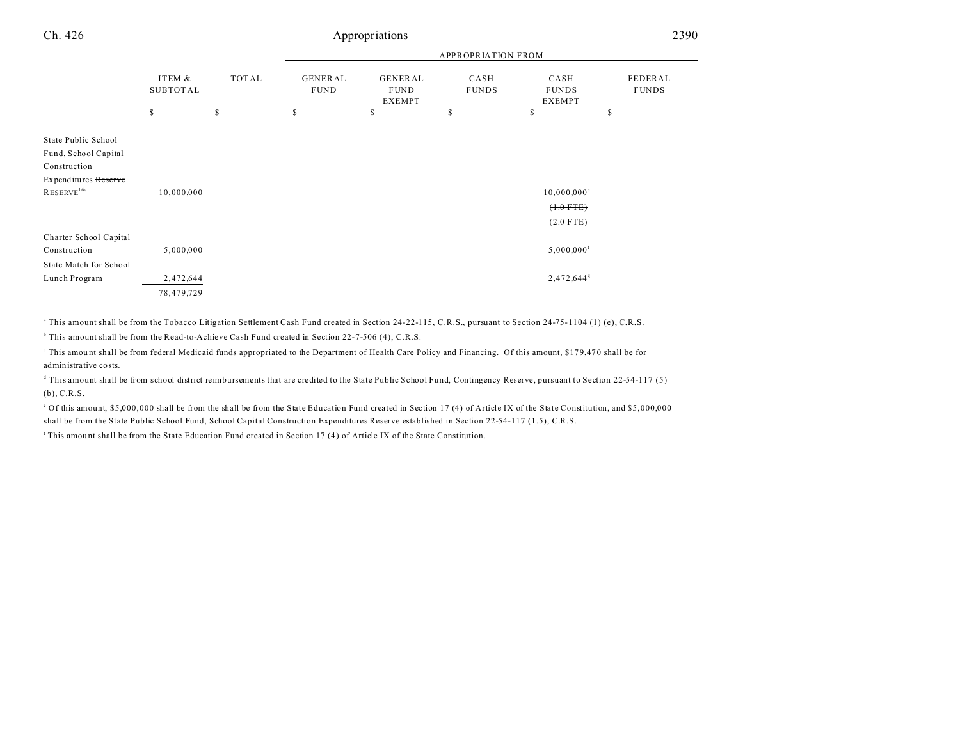| Ch. 426                                                                                                       |                                           | 2390         |                               |                                         |                      |                                                       |                         |
|---------------------------------------------------------------------------------------------------------------|-------------------------------------------|--------------|-------------------------------|-----------------------------------------|----------------------|-------------------------------------------------------|-------------------------|
|                                                                                                               |                                           |              |                               |                                         |                      |                                                       |                         |
|                                                                                                               | ITEM &<br><b>TOTAL</b><br><b>SUBTOTAL</b> |              | <b>GENERAL</b><br><b>FUND</b> | GENERAL<br><b>FUND</b><br><b>EXEMPT</b> | CASH<br><b>FUNDS</b> | CASH<br><b>FUNDS</b><br><b>EXEMPT</b>                 | FEDERAL<br><b>FUNDS</b> |
|                                                                                                               | \$                                        | $\mathbb{S}$ | \$                            | \$                                      | \$                   | \$                                                    | S                       |
| State Public School<br>Fund, School Capital<br>Construction<br>Expenditures Reserve<br>RESERVE <sup>16a</sup> | 10,000,000                                |              |                               |                                         |                      | $10,000,000^{\circ}$<br>$(+.0$ FTE $)$<br>$(2.0$ FTE) |                         |
| Charter School Capital<br>Construction                                                                        | 5,000,000                                 |              |                               |                                         |                      | $5,000,000$ <sup>f</sup>                              |                         |
| State Match for School<br>Lunch Program                                                                       | 2,472,644<br>78,479,729                   |              |                               |                                         |                      | 2,472,644 $s$                                         |                         |

a This amount shall be from the Tobacco Litigation Settlement Cash Fund created in Section 24-22-115, C.R.S., pursuant to Section 24-75-1104 (1) (e), C.R.S.

b This amount shall be from the Read-to-Achieve Cash Fund created in Section 22-7-506 (4), C.R.S.

This amount shall be from federal Medicaid funds appropriated to the Department of Health Care Policy and Financing. Of this amount, \$179,470 shall be for administrative costs.

d This amount shall be from school district reimbursements that are credited to the State Public School Fund, Contingency Reserve, pursuant to Section 22-54-117 (5) (b), C.R.S.

of this amount, \$5,000,000 shall be from the shall be from the State Education Fund created in Section 17 (4) of Article IX of the State Constitution, and \$5,000,000 shall be from the State Public School Fund, School Capital Construction Expenditures Reserve established in Section 22-54-117 (1.5), C.R.S.

<sup>f</sup> This amount shall be from the State Education Fund created in Section 17 (4) of Article IX of the State Constitution.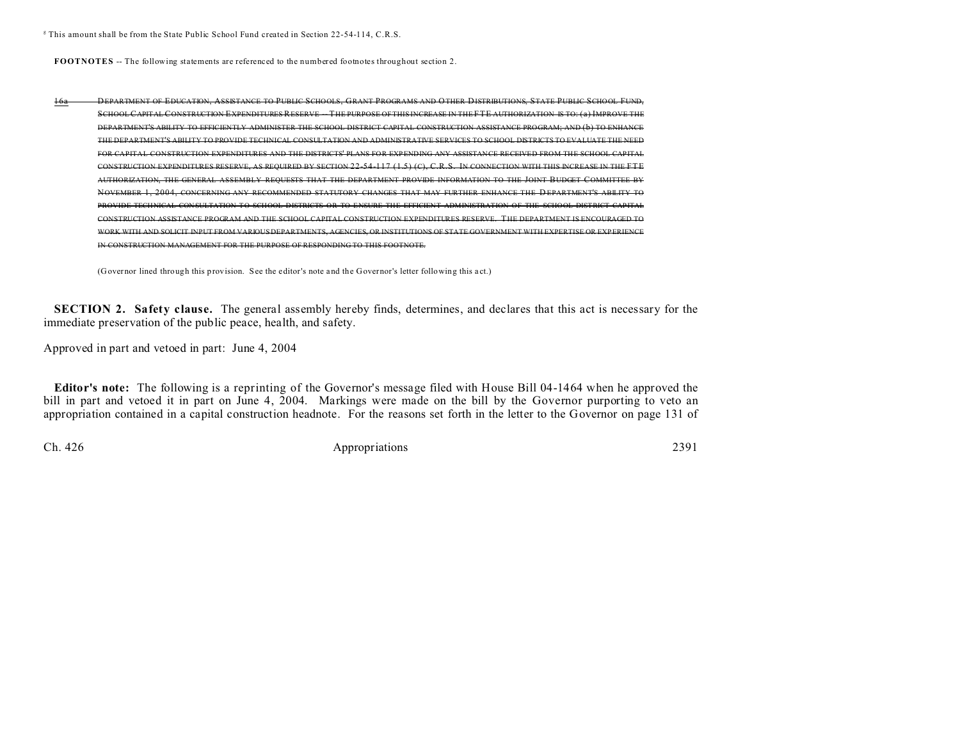<sup>g</sup> This amount shall be from the State Public School Fund created in Section 22-54-114, C.R.S.

**FOOTNOTES** -- The following statements are referenced to the numbered footnotes throughout section 2.

| 16a | DEPARTMENT OF EDUCATION, ASSISTANCE TO PUBLIC SCHOOLS, GRANT PROGRAMS AND OTHER DISTRIBUTIONS, STATE PUBLIC SCHOOL FUND,          |
|-----|-----------------------------------------------------------------------------------------------------------------------------------|
|     | SCHOOL CAPITAL CONSTRUCTION EXPENDITURES RESERVE THE PURPOSE OF THIS INCREASE IN THE FTE AUTHORIZATION IS TO: (a) IMPROVE THE     |
|     | DEPARTMENT'S ABILITY TO EFFICIENTLY ADMINISTER THE SCHOOL DISTRICT CAPITAL CONSTRUCTION ASSISTANCE PROGRAM; AND (b) TO ENHANCE    |
|     | THE DEPARTMENT'S ABILITY TO PROVIDE TECHNICAL CONSULTATION AND ADMINISTRATIVE SERVICES TO SCHOOL DISTRICTS TO EVALUATE THE NEED   |
|     | FOR CAPITAL CONSTRUCTION EXPENDITURES AND THE DISTRICTS' PLANS FOR EXPENDING ANY ASSISTANCE RECEIVED FROM THE SCHOOL CAPITAL      |
|     | CONSTRUCTION EXPENDITURES RESERVE, AS REQUIRED BY SECTION 22-54-117 (1.5) (C), C.R.S. IN CONNECTION WITH THIS INCREASE IN THE FTE |
|     | AUTHORIZATION, THE GENERAL ASSEMBLY REQUESTS THAT THE DEPARTMENT PROVIDE INFORMATION TO THE JOINT BUDGET COMMI                    |
|     | NOVEMBER 1, 2004, CONCERNING ANY RECOMMENDED STATUTORY CHANGES THAT MAY FURTHER ENHANCE THE DEPARTMENT'S ABILITY TO               |
|     | PROVIDE TECHNICAL CONSULTATION TO SCHOOL DISTRICTS OR TO ENSURE THE EFFICIENT ADMINISTRATION OF THE SCHOOL DISTRICT CAPITAL       |
|     | CONSTRUCTION ASSISTANCE PROGRAM AND THE SCHOOL CAPITAL CONSTRUCTION EXPENDITURES RESERVE. THE DEPARTMENT IS ENCOURAGED TO         |
|     | <u>VARIOUS DEPARTMENTS, AGENCIES, OR INSTITUTIONS OF STATE GOVERNMENT</u>                                                         |
|     | "ONSTRUCTION MANAGEMENT EOR THE RURPOSE OF RESPONDING TO THIS FOOTNOTE                                                            |

(Governor lined through this provision. See the editor's note and the Governor's letter following this a ct.)

**SECTION 2. Safety clause.** The general assembly hereby finds, determines, and declares that this act is necessary for the immediate preservation of the public peace, health, and safety.

Approved in part and vetoed in part: June 4, 2004

**Editor's note:** The following is a reprinting of the Governor's message filed with House Bill 04-1464 when he approved the bill in part and vetoed it in part on June 4, 2004. Markings were made on the bill by the Governor purporting to veto an appropriation contained in a capital construction headnote. For the reasons set forth in the letter to the Governor on page 131 of

Ch. 426 Appropriations 2391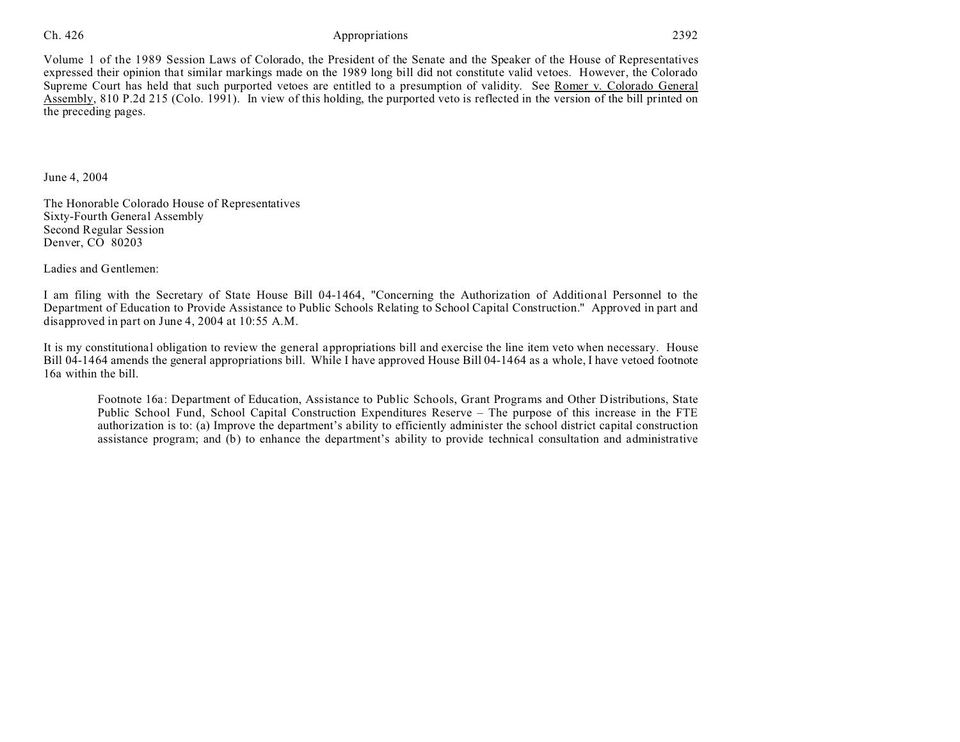# Ch. 426 **Appropriations** 2392

Volume 1 of the 1989 Session Laws of Colorado, the President of the Senate and the Speaker of the House of Representatives expressed their opinion that similar markings made on the 1989 long bill did not constitute valid vetoes. However, the Colorado Supreme Court has held that such purported vetoes are entitled to a presumption of validity. See Romer v. Colorado General Assembly, 810 P.2d 215 (Colo. 1991). In view of this holding, the purported veto is reflected in the version of the bill printed on the preceding pages.

June 4, 2004

The Honorable Colorado House of Representatives Sixty-Fourth General Assembly Second Regular Session Denver, CO 80203

Ladies and Gentlemen:

I am filing with the Secretary of State House Bill 04-1464, "Concerning the Authorization of Additional Personnel to the Department of Education to Provide Assistance to Public Schools Relating to School Capital Construction." Approved in part and disapproved in part on June 4, 2004 at 10:55 A.M.

It is my constitutional obligation to review the general appropriations bill and exercise the line item veto when necessary. House Bill 04-1464 amends the general appropriations bill. While I have approved House Bill 04-1464 as a whole, I have vetoed footnote 16a within the bill.

Footnote 16a: Department of Education, Assistance to Public Schools, Grant Programs and Other Distributions, State Public School Fund, School Capital Construction Expenditures Reserve – The purpose of this increase in the FTE authorization is to: (a) Improve the department's ability to efficiently administer the school district capital construction assistance program; and (b) to enhance the department's ability to provide technical consultation and administrative